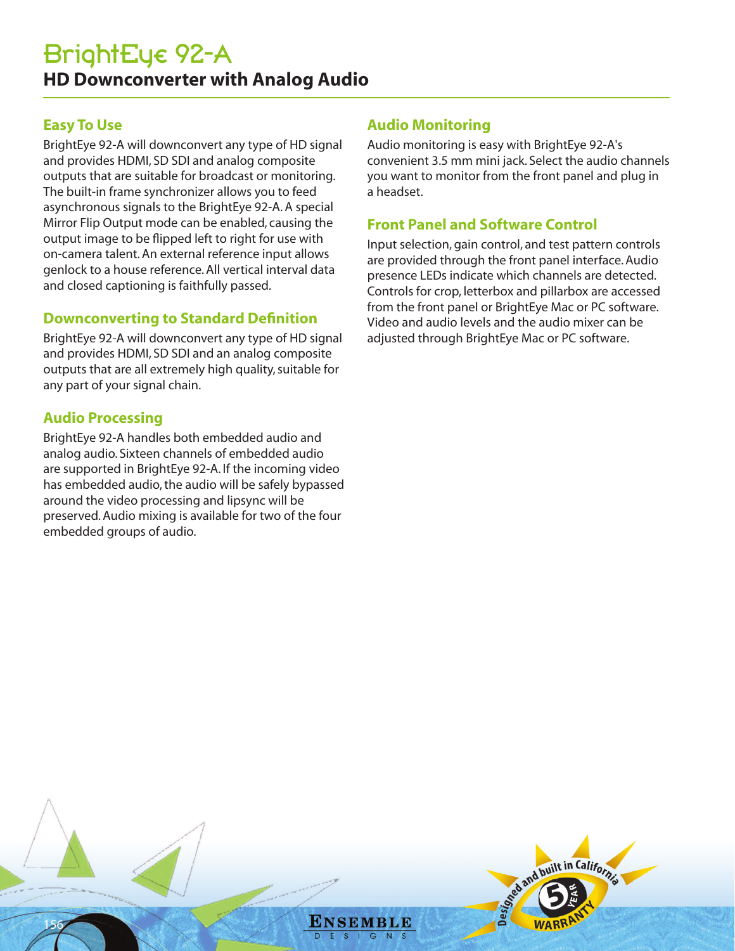# **Easy To Use**

BrightEye 92-A will downconvert any type of HD signal and provides HDMI, SD SDI and analog composite outputs that are suitable for broadcast or monitoring. The built-in frame synchronizer allows you to feed asynchronous signals to the BrightEye 92-A. A special Mirror Flip Output mode can be enabled, causing the output image to be flipped left to right for use with on-camera talent. An external reference input allows genlock to a house reference. All vertical interval data and closed captioning is faithfully passed.

## **Downconverting to Standard Definition**

BrightEye 92-A will downconvert any type of HD signal and provides HDMI, SD SDI and an analog composite outputs that are all extremely high quality, suitable for any part of your signal chain.

# **Audio Processing**

156

BrightEye 92-A handles both embedded audio and analog audio. Sixteen channels of embedded audio are supported in BrightEye 92-A. If the incoming video has embedded audio, the audio will be safely bypassed around the video processing and lipsync will be preserved. Audio mixing is available for two of the four embedded groups of audio.

# **Audio Monitoring**

Audio monitoring is easy with BrightEye 92-A's convenient 3.5 mm mini jack. Select the audio channels you want to monitor from the front panel and plug in a headset.

## **Front Panel and Software Control**

Input selection, gain control, and test pattern controls are provided through the front panel interface. Audio presence LEDs indicate which channels are detected. Controls for crop, letterbox and pillarbox are accessed from the front panel or BrightEye Mac or PC software. Video and audio levels and the audio mixer can be adjusted through BrightEye Mac or PC software.

and built in California

ENSEMBLE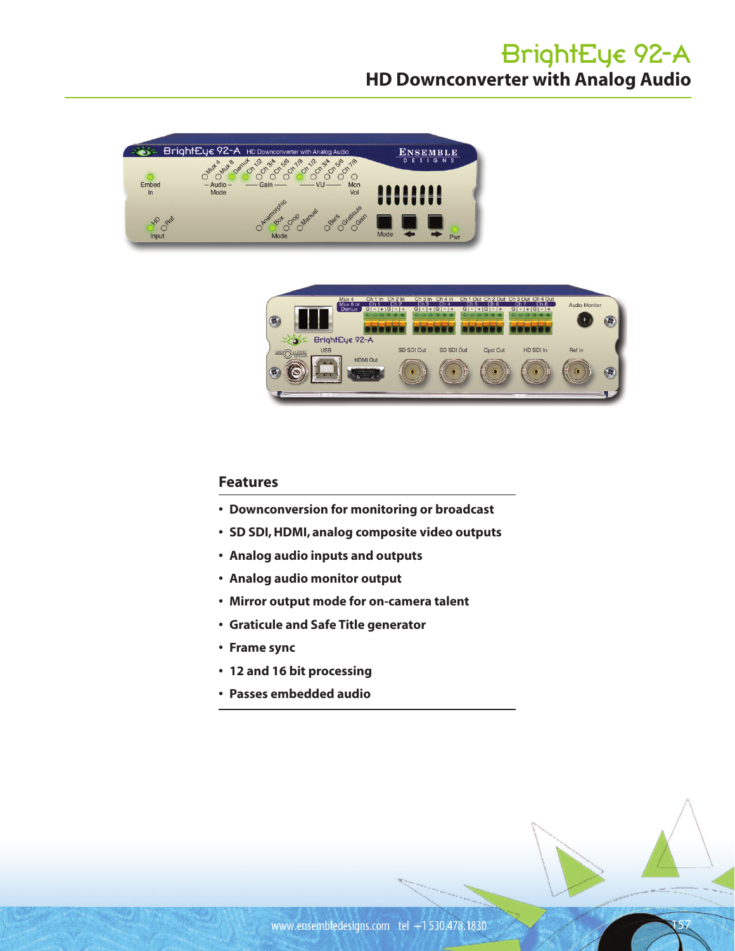# BrightEye 92-A **HD Downconverter with Analog Audio**





### **Features**

- **• Downconversion for monitoring or broadcast**
- **• SD SDI, HDMI, analog composite video outputs**
- **• Analog audio inputs and outputs**
- **• Analog audio monitor output**
- **• Mirror output mode for on-camera talent**
- **• Graticule and Safe Title generator**
- **• Frame sync**
- **• 12 and 16 bit processing**
- **• Passes embedded audio**

157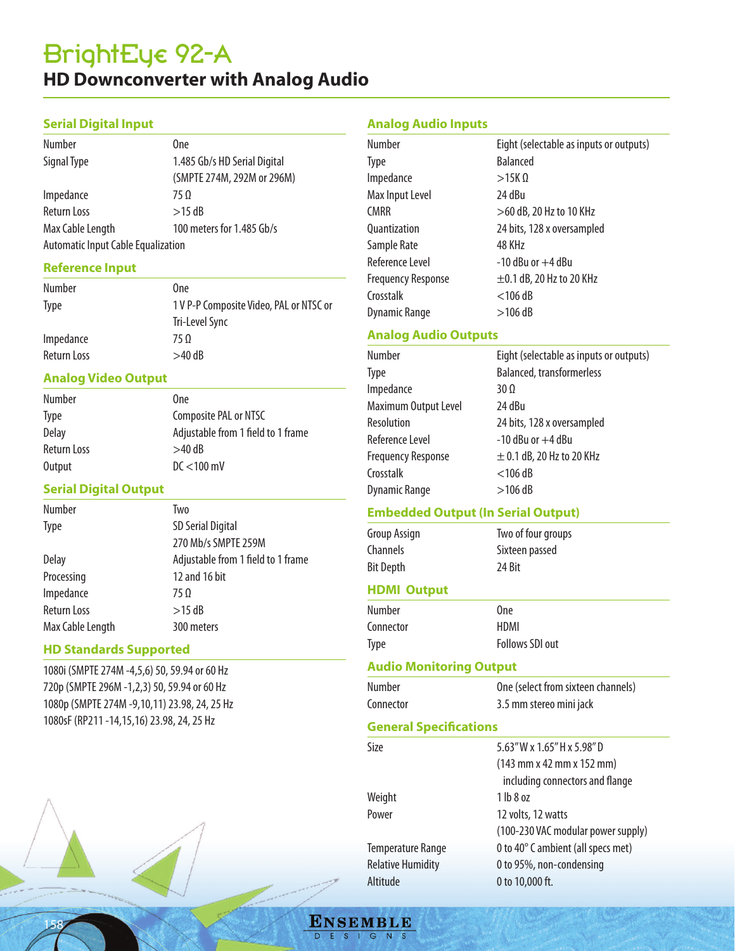# BrightEye 92-A **HD Downconverter with Analog Audio**

### **Serial Digital Input**

| Number                                    | 0ne                          |
|-------------------------------------------|------------------------------|
| Signal Type                               | 1.485 Gb/s HD Serial Digital |
|                                           | (SMPTE 274M, 292M or 296M)   |
| Impedance                                 | 750                          |
| Return Loss                               | $>15$ dB                     |
| Max Cable Length                          | 100 meters for 1.485 Gb/s    |
| <b>Automatic Input Cable Equalization</b> |                              |

#### **Reference Input**

| Number      | 0ne                                     |
|-------------|-----------------------------------------|
| <b>Type</b> | 1 V P-P Composite Video, PAL or NTSC or |
|             | Tri-Level Sync                          |
| Impedance   | 75 O                                    |
| Return Loss | $>40$ dB                                |

### **Analog Video Output**

| Number       | 0 <sub>ne</sub>                    |
|--------------|------------------------------------|
| <b>Type</b>  | Composite PAL or NTSC              |
| <b>Delay</b> | Adjustable from 1 field to 1 frame |
| Return Loss  | $>40$ dB                           |
| Output       | $DC < 100$ mV                      |

#### **Serial Digital Output**

| Number           | Two                                |
|------------------|------------------------------------|
| <b>Type</b>      | <b>SD Serial Digital</b>           |
|                  | 270 Mb/s SMPTE 259M                |
| Delay            | Adjustable from 1 field to 1 frame |
| Processing       | 12 and 16 bit                      |
| Impedance        | $75 \Omega$                        |
| Return Loss      | $>15$ dB                           |
| Max Cable Length | 300 meters                         |

#### **HD Standards Supported**

158

1080i (SMPTE 274M -4,5,6) 50, 59.94 or 60 Hz 720p (SMPTE 296M -1,2,3) 50, 59.94 or 60 Hz 1080p (SMPTE 274M -9,10,11) 23.98, 24, 25 Hz 1080sF (RP211 -14,15,16) 23.98, 24, 25 Hz



| <b>Number</b>             | Eight (selectable as inputs or outputs) |
|---------------------------|-----------------------------------------|
| <b>Type</b>               | <b>Balanced</b>                         |
| Impedance                 | $>15K$ $\Omega$                         |
| Max Input Level           | 24 dBu                                  |
| <b>CMRR</b>               | >60 dB, 20 Hz to 10 KHz                 |
| <b>Ouantization</b>       | 24 bits, 128 x oversampled              |
| Sample Rate               | 48 KHz                                  |
| Reference Level           | $-10$ dBu or $+4$ dBu                   |
| <b>Frequency Response</b> | $\pm$ 0.1 dB, 20 Hz to 20 KHz           |
| Crosstalk                 | $<$ 106 dB                              |
| Dynamic Range             | $>106$ dB                               |

## **Analog Audio Outputs**

| Number                    | Eight (selectable as inputs or outputs) |
|---------------------------|-----------------------------------------|
| <b>Type</b>               | <b>Balanced, transformerless</b>        |
| Impedance                 | $30\Omega$                              |
| Maximum Output Level      | 24 dBu                                  |
| Resolution                | 24 bits, 128 x oversampled              |
| Reference Level           | $-10$ dBu or $+4$ dBu                   |
| <b>Frequency Response</b> | $\pm$ 0.1 dB, 20 Hz to 20 KHz           |
| Crosstalk                 | $<$ 106 dB                              |
| <b>Dynamic Range</b>      | $>106$ dB                               |

## **Embedded Output (In Serial Output)**

| Group Assign     | Two of four groups |  |
|------------------|--------------------|--|
| Channels         | Sixteen passed     |  |
| <b>Bit Depth</b> | 24 Bit             |  |

#### **HDMI Output**

| Number    | 0ne                    |
|-----------|------------------------|
| Connector | HDMI                   |
| Type      | <b>Follows SDI out</b> |

## **Audio Monitoring Output**

| Number                        | One (select from sixteen channels)                            |
|-------------------------------|---------------------------------------------------------------|
| Connector                     | 3.5 mm stereo mini jack                                       |
| <b>General Specifications</b> |                                                               |
| Size                          | 5.63" W x 1.65" H x 5.98" D                                   |
|                               | $(143 \text{ mm} \times 42 \text{ mm} \times 152 \text{ mm})$ |
|                               | including connectors and flange                               |
| Weight                        | $1$ lb $8$ oz                                                 |
| $D_{\alpha}$                  | 12141214                                                      |

Power 2012 12 volts, 12 watts (100-230 VAC modular power supply) Temperature Range 0 to 40° C ambient (all specs met) Relative Humidity 0 to 95%, non-condensing Altitude 0 to 10,000 ft.

**ENSEMBLE** D E S I G N S